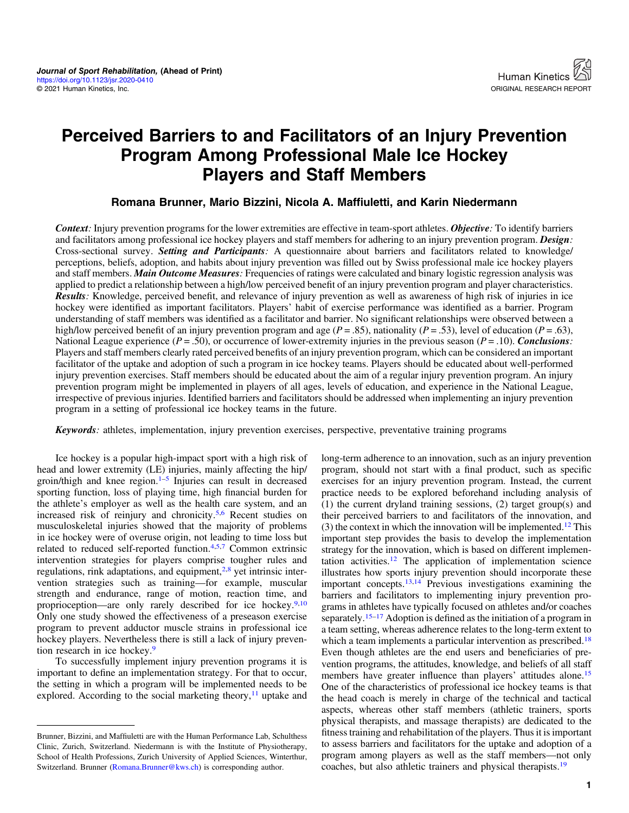# Perceived Barriers to and Facilitators of an Injury Prevention Program Among Professional Male Ice Hockey Players and Staff Members

#### Romana Brunner, Mario Bizzini, Nicola A. Maffiuletti, and Karin Niedermann

Context: Injury prevention programs for the lower extremities are effective in team-sport athletes. Objective: To identify barriers and facilitators among professional ice hockey players and staff members for adhering to an injury prevention program. Design: Cross-sectional survey. Setting and Participants: A questionnaire about barriers and facilitators related to knowledge/ perceptions, beliefs, adoption, and habits about injury prevention was filled out by Swiss professional male ice hockey players and staff members. Main Outcome Measures: Frequencies of ratings were calculated and binary logistic regression analysis was applied to predict a relationship between a high/low perceived benefit of an injury prevention program and player characteristics. Results: Knowledge, perceived benefit, and relevance of injury prevention as well as awareness of high risk of injuries in ice hockey were identified as important facilitators. Players' habit of exercise performance was identified as a barrier. Program understanding of staff members was identified as a facilitator and barrier. No significant relationships were observed between a high/low perceived benefit of an injury prevention program and age ( $P = .85$ ), nationality ( $P = .53$ ), level of education ( $P = .63$ ), National League experience ( $P = .50$ ), or occurrence of lower-extremity injuries in the previous season ( $P = .10$ ). Conclusions: Players and staff members clearly rated perceived benefits of an injury prevention program, which can be considered an important facilitator of the uptake and adoption of such a program in ice hockey teams. Players should be educated about well-performed injury prevention exercises. Staff members should be educated about the aim of a regular injury prevention program. An injury prevention program might be implemented in players of all ages, levels of education, and experience in the National League, irrespective of previous injuries. Identified barriers and facilitators should be addressed when implementing an injury prevention program in a setting of professional ice hockey teams in the future.

Keywords: athletes, implementation, injury prevention exercises, perspective, preventative training programs

Ice hockey is a popular high-impact sport with a high risk of head and lower extremity (LE) injuries, mainly affecting the hip/ groin/thigh and knee region. $1-5$  $1-5$  Injuries can result in decreased sporting function, loss of playing time, high financial burden for the athlete's employer as well as the health care system, and an increased risk of reinjury and chronicity.[5,6](#page-6-0) Recent studies on musculoskeletal injuries showed that the majority of problems in ice hockey were of overuse origin, not leading to time loss but related to reduced self-reported function[.4,5,7](#page-6-0) Common extrinsic intervention strategies for players comprise tougher rules and regulations, rink adaptations, and equipment, $2.8$  yet intrinsic intervention strategies such as training—for example, muscular strength and endurance, range of motion, reaction time, and proprioception—are only rarely described for ice hockey.<sup>[9](#page-6-0),[10](#page-6-0)</sup> Only one study showed the effectiveness of a preseason exercise program to prevent adductor muscle strains in professional ice hockey players. Nevertheless there is still a lack of injury prevention research in ice hockey[.9](#page-6-0)

To successfully implement injury prevention programs it is important to define an implementation strategy. For that to occur, the setting in which a program will be implemented needs to be explored. According to the social marketing theory, $<sup>11</sup>$  $<sup>11</sup>$  $<sup>11</sup>$  uptake and</sup> long-term adherence to an innovation, such as an injury prevention program, should not start with a final product, such as specific exercises for an injury prevention program. Instead, the current practice needs to be explored beforehand including analysis of (1) the current dryland training sessions, (2) target group(s) and their perceived barriers to and facilitators of the innovation, and (3) the context in which the innovation will be implemented.<sup>12</sup> This important step provides the basis to develop the implementation strategy for the innovation, which is based on different implemen-tation activities.<sup>[12](#page-6-0)</sup> The application of implementation science illustrates how sports injury prevention should incorporate these important concepts. $13,14$  Previous investigations examining the barriers and facilitators to implementing injury prevention programs in athletes have typically focused on athletes and/or coaches separately.<sup>[15](#page-6-0)–[17](#page-7-0)</sup> Adoption is defined as the initiation of a program in a team setting, whereas adherence relates to the long-term extent to which a team implements a particular intervention as prescribed.<sup>[18](#page-7-0)</sup> Even though athletes are the end users and beneficiaries of prevention programs, the attitudes, knowledge, and beliefs of all staff members have greater influence than players' attitudes alone.<sup>[15](#page-6-0)</sup> One of the characteristics of professional ice hockey teams is that the head coach is merely in charge of the technical and tactical aspects, whereas other staff members (athletic trainers, sports physical therapists, and massage therapists) are dedicated to the fitness training and rehabilitation of the players. Thus it is important to assess barriers and facilitators for the uptake and adoption of a program among players as well as the staff members—not only coaches, but also athletic trainers and physical therapists.[19](#page-7-0)

Brunner, Bizzini, and Maffiuletti are with the Human Performance Lab, Schulthess Clinic, Zurich, Switzerland. Niedermann is with the Institute of Physiotherapy, School of Health Professions, Zurich University of Applied Sciences, Winterthur, Switzerland. Brunner [\(Romana.Brunner@kws.ch](mailto:Romana.Brunner@kws.ch)) is corresponding author.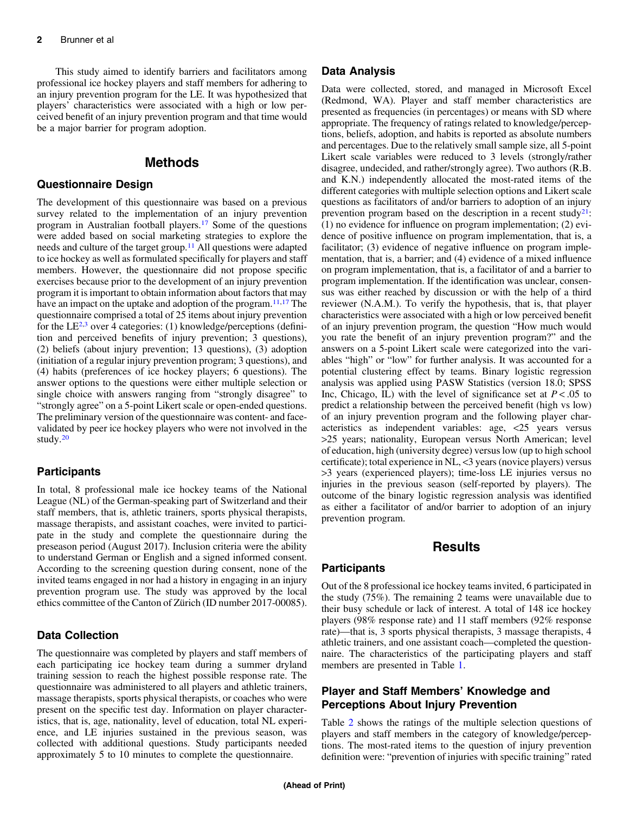This study aimed to identify barriers and facilitators among professional ice hockey players and staff members for adhering to an injury prevention program for the LE. It was hypothesized that players' characteristics were associated with a high or low perceived benefit of an injury prevention program and that time would be a major barrier for program adoption.

## Methods

#### Questionnaire Design

The development of this questionnaire was based on a previous survey related to the implementation of an injury prevention program in Australian football players.[17](#page-7-0) Some of the questions were added based on social marketing strategies to explore the needs and culture of the target group.[11](#page-6-0) All questions were adapted to ice hockey as well as formulated specifically for players and staff members. However, the questionnaire did not propose specific exercises because prior to the development of an injury prevention program it is important to obtain information about factors that may have an impact on the uptake and adoption of the program. $11,17$  $11,17$  The questionnaire comprised a total of 25 items about injury prevention for the LE $^{2,3}$  $^{2,3}$  $^{2,3}$  over 4 categories: (1) knowledge/perceptions (definition and perceived benefits of injury prevention; 3 questions), (2) beliefs (about injury prevention; 13 questions), (3) adoption (initiation of a regular injury prevention program; 3 questions), and (4) habits (preferences of ice hockey players; 6 questions). The answer options to the questions were either multiple selection or single choice with answers ranging from "strongly disagree" to "strongly agree" on a 5-point Likert scale or open-ended questions. The preliminary version of the questionnaire was content- and facevalidated by peer ice hockey players who were not involved in the study[.20](#page-7-0)

#### **Participants**

In total, 8 professional male ice hockey teams of the National League (NL) of the German-speaking part of Switzerland and their staff members, that is, athletic trainers, sports physical therapists, massage therapists, and assistant coaches, were invited to participate in the study and complete the questionnaire during the preseason period (August 2017). Inclusion criteria were the ability to understand German or English and a signed informed consent. According to the screening question during consent, none of the invited teams engaged in nor had a history in engaging in an injury prevention program use. The study was approved by the local ethics committee of the Canton of Zürich (ID number 2017-00085).

#### Data Collection

The questionnaire was completed by players and staff members of each participating ice hockey team during a summer dryland training session to reach the highest possible response rate. The questionnaire was administered to all players and athletic trainers, massage therapists, sports physical therapists, or coaches who were present on the specific test day. Information on player characteristics, that is, age, nationality, level of education, total NL experience, and LE injuries sustained in the previous season, was collected with additional questions. Study participants needed approximately 5 to 10 minutes to complete the questionnaire.

#### Data Analysis

Data were collected, stored, and managed in Microsoft Excel (Redmond, WA). Player and staff member characteristics are presented as frequencies (in percentages) or means with SD where appropriate. The frequency of ratings related to knowledge/perceptions, beliefs, adoption, and habits is reported as absolute numbers and percentages. Due to the relatively small sample size, all 5-point Likert scale variables were reduced to 3 levels (strongly/rather disagree, undecided, and rather/strongly agree). Two authors (R.B. and K.N.) independently allocated the most-rated items of the different categories with multiple selection options and Likert scale questions as facilitators of and/or barriers to adoption of an injury prevention program based on the description in a recent study<sup>21</sup>: (1) no evidence for influence on program implementation; (2) evidence of positive influence on program implementation, that is, a facilitator; (3) evidence of negative influence on program implementation, that is, a barrier; and (4) evidence of a mixed influence on program implementation, that is, a facilitator of and a barrier to program implementation. If the identification was unclear, consensus was either reached by discussion or with the help of a third reviewer (N.A.M.). To verify the hypothesis, that is, that player characteristics were associated with a high or low perceived benefit of an injury prevention program, the question "How much would you rate the benefit of an injury prevention program?" and the answers on a 5-point Likert scale were categorized into the variables "high" or "low" for further analysis. It was accounted for a potential clustering effect by teams. Binary logistic regression analysis was applied using PASW Statistics (version 18.0; SPSS Inc, Chicago, IL) with the level of significance set at  $P < .05$  to predict a relationship between the perceived benefit (high vs low) of an injury prevention program and the following player characteristics as independent variables: age, <25 years versus >25 years; nationality, European versus North American; level of education, high (university degree) versus low (up to high school certificate); total experience in NL, <3 years (novice players) versus >3 years (experienced players); time-loss LE injuries versus no injuries in the previous season (self-reported by players). The outcome of the binary logistic regression analysis was identified as either a facilitator of and/or barrier to adoption of an injury prevention program.

# **Results**

#### **Participants**

Out of the 8 professional ice hockey teams invited, 6 participated in the study (75%). The remaining 2 teams were unavailable due to their busy schedule or lack of interest. A total of 148 ice hockey players (98% response rate) and 11 staff members (92% response rate)—that is, 3 sports physical therapists, 3 massage therapists, 4 athletic trainers, and one assistant coach—completed the questionnaire. The characteristics of the participating players and staff members are presented in Table [1.](#page-2-0)

## Player and Staff Members' Knowledge and Perceptions About Injury Prevention

Table [2](#page-3-0) shows the ratings of the multiple selection questions of players and staff members in the category of knowledge/perceptions. The most-rated items to the question of injury prevention definition were: "prevention of injuries with specific training" rated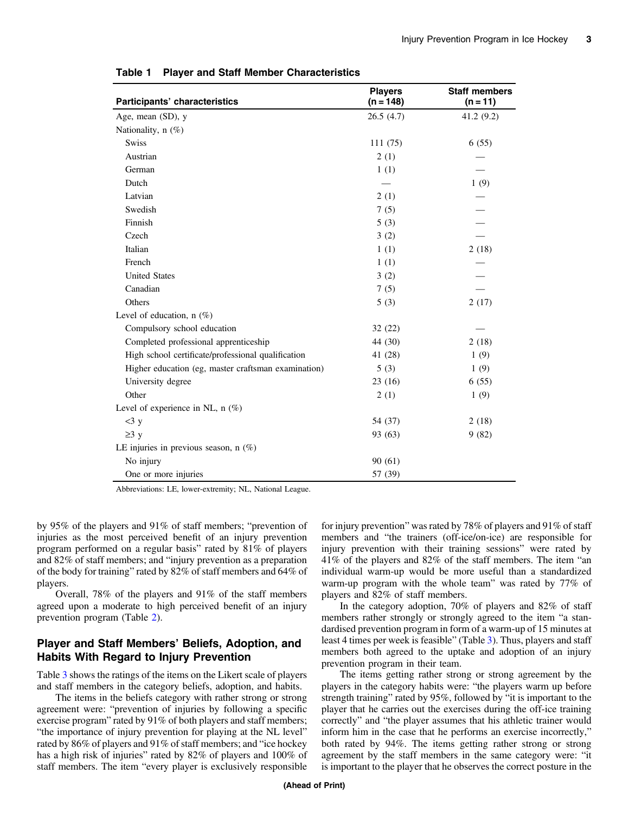| Participants' characteristics                       | <b>Players</b><br>$(n = 148)$ | <b>Staff members</b><br>$(n = 11)$ |
|-----------------------------------------------------|-------------------------------|------------------------------------|
| Age, mean (SD), y                                   | 26.5(4.7)                     | 41.2(9.2)                          |
| Nationality, $n$ (%)                                |                               |                                    |
| <b>Swiss</b>                                        | 111(75)                       | 6(55)                              |
| Austrian                                            | 2(1)                          |                                    |
| German                                              | 1(1)                          |                                    |
| Dutch                                               |                               | 1(9)                               |
| Latvian                                             | 2(1)                          |                                    |
| Swedish                                             | 7(5)                          |                                    |
| Finnish                                             | 5(3)                          |                                    |
| Czech                                               | 3(2)                          |                                    |
| Italian                                             | 1(1)                          | 2(18)                              |
| French                                              | 1(1)                          |                                    |
| <b>United States</b>                                | 3(2)                          |                                    |
| Canadian                                            | 7(5)                          |                                    |
| Others                                              | 5(3)                          | 2(17)                              |
| Level of education, $n$ (%)                         |                               |                                    |
| Compulsory school education                         | 32(22)                        |                                    |
| Completed professional apprenticeship               | 44 (30)                       | 2(18)                              |
| High school certificate/professional qualification  | 41 (28)                       | 1(9)                               |
| Higher education (eg, master craftsman examination) | 5(3)                          | 1(9)                               |
| University degree                                   | 23(16)                        | 6(55)                              |
| Other                                               | 2(1)                          | 1(9)                               |
| Level of experience in NL, $n$ (%)                  |                               |                                    |
| $<$ 3 y                                             | 54 (37)                       | 2(18)                              |
| $\geq 3$ y                                          | 93 (63)                       | 9(82)                              |
| LE injuries in previous season, $n$ (%)             |                               |                                    |
| No injury                                           | 90(61)                        |                                    |
| One or more injuries                                | 57 (39)                       |                                    |

<span id="page-2-0"></span>Table 1 Player and Staff Member Characteristics

Abbreviations: LE, lower-extremity; NL, National League.

by 95% of the players and 91% of staff members; "prevention of injuries as the most perceived benefit of an injury prevention program performed on a regular basis" rated by 81% of players and 82% of staff members; and "injury prevention as a preparation of the body for training" rated by 82% of staff members and 64% of players.

Overall, 78% of the players and 91% of the staff members agreed upon a moderate to high perceived benefit of an injury prevention program (Table [2\)](#page-3-0).

#### Player and Staff Members' Beliefs, Adoption, and Habits With Regard to Injury Prevention

Table [3](#page-4-0) shows the ratings of the items on the Likert scale of players and staff members in the category beliefs, adoption, and habits.

The items in the beliefs category with rather strong or strong agreement were: "prevention of injuries by following a specific exercise program" rated by 91% of both players and staff members; "the importance of injury prevention for playing at the NL level" rated by 86% of players and 91% of staff members; and "ice hockey has a high risk of injuries" rated by 82% of players and 100% of staff members. The item "every player is exclusively responsible for injury prevention" was rated by 78% of players and 91% of staff members and "the trainers (off-ice/on-ice) are responsible for injury prevention with their training sessions" were rated by 41% of the players and 82% of the staff members. The item "an individual warm-up would be more useful than a standardized warm-up program with the whole team" was rated by 77% of players and 82% of staff members.

In the category adoption, 70% of players and 82% of staff members rather strongly or strongly agreed to the item "a standardised prevention program in form of a warm-up of 15 minutes at least 4 times per week is feasible" (Table [3](#page-4-0)). Thus, players and staff members both agreed to the uptake and adoption of an injury prevention program in their team.

The items getting rather strong or strong agreement by the players in the category habits were: "the players warm up before strength training" rated by 95%, followed by "it is important to the player that he carries out the exercises during the off-ice training correctly" and "the player assumes that his athletic trainer would inform him in the case that he performs an exercise incorrectly," both rated by 94%. The items getting rather strong or strong agreement by the staff members in the same category were: "it is important to the player that he observes the correct posture in the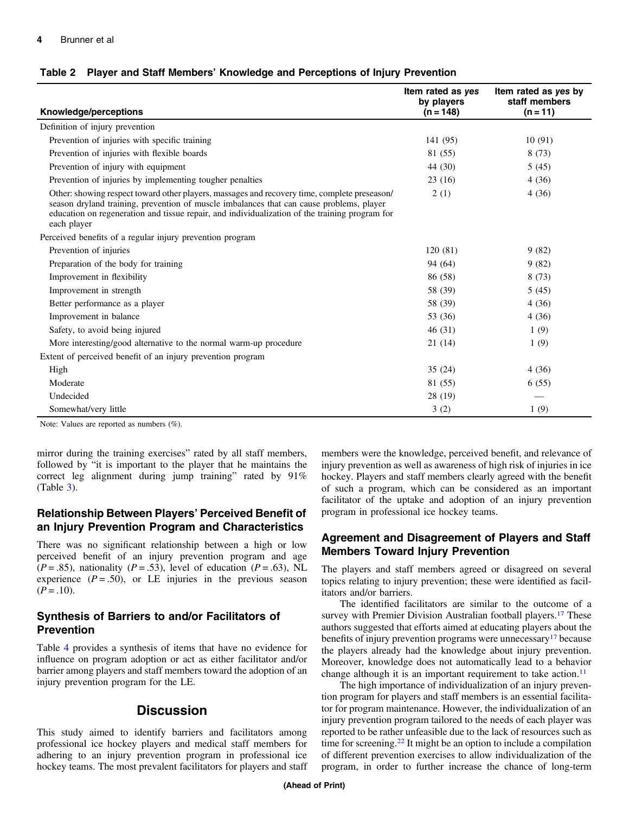<span id="page-3-0"></span>

| Knowledge/perceptions                                                                                                                                                                                                                                                                                     | Item rated as yes<br>by players<br>$(n = 148)$ | Item rated as yes by<br>staff members<br>$(n = 11)$ |
|-----------------------------------------------------------------------------------------------------------------------------------------------------------------------------------------------------------------------------------------------------------------------------------------------------------|------------------------------------------------|-----------------------------------------------------|
| Definition of injury prevention                                                                                                                                                                                                                                                                           |                                                |                                                     |
| Prevention of injuries with specific training                                                                                                                                                                                                                                                             | 141 (95)                                       | 10(91)                                              |
| Prevention of injuries with flexible boards                                                                                                                                                                                                                                                               | 81 (55)                                        | 8(73)                                               |
| Prevention of injury with equipment                                                                                                                                                                                                                                                                       | 44 (30)                                        | 5(45)                                               |
| Prevention of injuries by implementing tougher penalties                                                                                                                                                                                                                                                  | 23(16)                                         | 4(36)                                               |
| Other: showing respect toward other players, massages and recovery time, complete preseason/<br>season dryland training, prevention of muscle imbalances that can cause problems, player<br>education on regeneration and tissue repair, and individualization of the training program for<br>each player | 2(1)                                           | 4(36)                                               |
| Perceived benefits of a regular injury prevention program                                                                                                                                                                                                                                                 |                                                |                                                     |
| Prevention of injuries                                                                                                                                                                                                                                                                                    | 120(81)                                        | 9(82)                                               |
| Preparation of the body for training                                                                                                                                                                                                                                                                      | 94 (64)                                        | 9(82)                                               |
| Improvement in flexibility                                                                                                                                                                                                                                                                                | 86 (58)                                        | 8(73)                                               |
| Improvement in strength                                                                                                                                                                                                                                                                                   | 58 (39)                                        | 5(45)                                               |
| Better performance as a player                                                                                                                                                                                                                                                                            | 58 (39)                                        | 4(36)                                               |
| Improvement in balance                                                                                                                                                                                                                                                                                    | 53 (36)                                        | 4(36)                                               |
| Safety, to avoid being injured                                                                                                                                                                                                                                                                            | 46(31)                                         | 1(9)                                                |
| More interesting/good alternative to the normal warm-up procedure                                                                                                                                                                                                                                         | 21(14)                                         | 1(9)                                                |
| Extent of perceived benefit of an injury prevention program                                                                                                                                                                                                                                               |                                                |                                                     |
| High                                                                                                                                                                                                                                                                                                      | 35(24)                                         | 4(36)                                               |
| Moderate                                                                                                                                                                                                                                                                                                  | 81 (55)                                        | 6(55)                                               |
| Undecided                                                                                                                                                                                                                                                                                                 | 28 (19)                                        |                                                     |
| Somewhat/very little                                                                                                                                                                                                                                                                                      | 3(2)                                           | 1(9)                                                |

Note: Values are reported as numbers (%).

mirror during the training exercises" rated by all staff members, followed by "it is important to the player that he maintains the correct leg alignment during jump training" rated by 91%  $(Table 3)$  $(Table 3)$  $(Table 3)$ .

## Relationship Between Players' Perceived Benefit of an Injury Prevention Program and Characteristics

There was no significant relationship between a high or low perceived benefit of an injury prevention program and age  $(P=.85)$ , nationality  $(P=.53)$ , level of education  $(P=.63)$ , NL experience  $(P = .50)$ , or LE injuries in the previous season  $(P=.10).$ 

## Synthesis of Barriers to and/or Facilitators of Prevention

Table [4](#page-5-0) provides a synthesis of items that have no evidence for influence on program adoption or act as either facilitator and/or barrier among players and staff members toward the adoption of an injury prevention program for the LE.

# **Discussion**

This study aimed to identify barriers and facilitators among professional ice hockey players and medical staff members for adhering to an injury prevention program in professional ice hockey teams. The most prevalent facilitators for players and staff members were the knowledge, perceived benefit, and relevance of injury prevention as well as awareness of high risk of injuries in ice hockey. Players and staff members clearly agreed with the benefit of such a program, which can be considered as an important facilitator of the uptake and adoption of an injury prevention program in professional ice hockey teams.

#### Agreement and Disagreement of Players and Staff Members Toward Injury Prevention

The players and staff members agreed or disagreed on several topics relating to injury prevention; these were identified as facilitators and/or barriers.

The identified facilitators are similar to the outcome of a survey with Premier Division Australian football players.<sup>17</sup> These authors suggested that efforts aimed at educating players about the benefits of injury prevention programs were unnecessary<sup>17</sup> because the players already had the knowledge about injury prevention. Moreover, knowledge does not automatically lead to a behavior change although it is an important requirement to take action.<sup>11</sup>

The high importance of individualization of an injury prevention program for players and staff members is an essential facilitator for program maintenance. However, the individualization of an injury prevention program tailored to the needs of each player was reported to be rather unfeasible due to the lack of resources such as time for screening. $22$  It might be an option to include a compilation of different prevention exercises to allow individualization of the program, in order to further increase the chance of long-term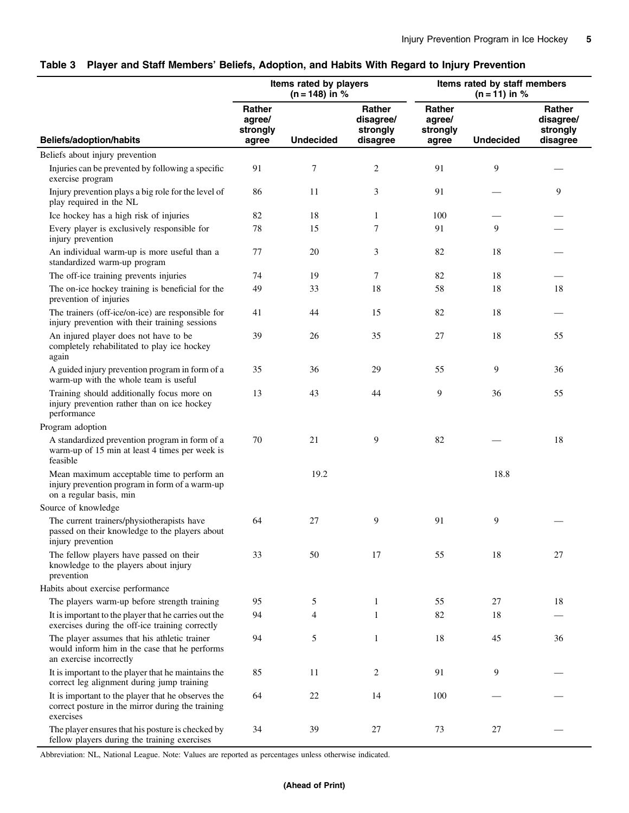<span id="page-4-0"></span>

|  |  |  | Table 3 Player and Staff Members' Beliefs, Adoption, and Habits With Regard to Injury Prevention |  |
|--|--|--|--------------------------------------------------------------------------------------------------|--|
|--|--|--|--------------------------------------------------------------------------------------------------|--|

|                                                                                                                          | Items rated by players<br>$(n = 148)$ in %   |                  |                                             | Items rated by staff members<br>$(n = 11)$ in % |                  |                                             |
|--------------------------------------------------------------------------------------------------------------------------|----------------------------------------------|------------------|---------------------------------------------|-------------------------------------------------|------------------|---------------------------------------------|
| <b>Beliefs/adoption/habits</b>                                                                                           | <b>Rather</b><br>agree/<br>strongly<br>agree | <b>Undecided</b> | Rather<br>disagree/<br>strongly<br>disagree | <b>Rather</b><br>agree/<br>strongly<br>agree    | <b>Undecided</b> | Rather<br>disagree/<br>strongly<br>disagree |
| Beliefs about injury prevention                                                                                          |                                              |                  |                                             |                                                 |                  |                                             |
| Injuries can be prevented by following a specific<br>exercise program                                                    | 91                                           | $\tau$           | $\overline{c}$                              | 91                                              | 9                |                                             |
| Injury prevention plays a big role for the level of<br>play required in the NL                                           | 86                                           | 11               | 3                                           | 91                                              |                  | 9                                           |
| Ice hockey has a high risk of injuries                                                                                   | 82                                           | 18               | 1                                           | 100                                             |                  |                                             |
| Every player is exclusively responsible for<br>injury prevention                                                         | 78                                           | 15               | 7                                           | 91                                              | 9                |                                             |
| An individual warm-up is more useful than a<br>standardized warm-up program                                              | 77                                           | 20               | 3                                           | 82                                              | 18               |                                             |
| The off-ice training prevents injuries                                                                                   | 74                                           | 19               | 7                                           | 82                                              | 18               |                                             |
| The on-ice hockey training is beneficial for the<br>prevention of injuries                                               | 49                                           | 33               | 18                                          | 58                                              | 18               | 18                                          |
| The trainers (off-ice/on-ice) are responsible for<br>injury prevention with their training sessions                      | 41                                           | 44               | 15                                          | 82                                              | 18               |                                             |
| An injured player does not have to be<br>completely rehabilitated to play ice hockey<br>again                            | 39                                           | 26               | 35                                          | 27                                              | 18               | 55                                          |
| A guided injury prevention program in form of a<br>warm-up with the whole team is useful                                 | 35                                           | 36               | 29                                          | 55                                              | 9                | 36                                          |
| Training should additionally focus more on<br>injury prevention rather than on ice hockey<br>performance                 | 13                                           | 43               | 44                                          | 9                                               | 36               | 55                                          |
| Program adoption                                                                                                         |                                              |                  |                                             |                                                 |                  |                                             |
| A standardized prevention program in form of a<br>warm-up of 15 min at least 4 times per week is<br>feasible             | 70                                           | 21               | 9                                           | 82                                              |                  | 18                                          |
| Mean maximum acceptable time to perform an<br>injury prevention program in form of a warm-up<br>on a regular basis, min  |                                              | 19.2             |                                             |                                                 | 18.8             |                                             |
| Source of knowledge                                                                                                      |                                              |                  |                                             |                                                 |                  |                                             |
| The current trainers/physiotherapists have<br>passed on their knowledge to the players about<br>injury prevention        | 64                                           | 27               | 9                                           | 91                                              | 9                |                                             |
| The fellow players have passed on their<br>knowledge to the players about injury<br>prevention                           | 33                                           | 50               | 17                                          | 55                                              | 18               | 27                                          |
| Habits about exercise performance                                                                                        |                                              |                  |                                             |                                                 |                  |                                             |
| The players warm-up before strength training                                                                             | 95                                           | 5                | $\mathbf{1}$                                | 55                                              | 27               | 18                                          |
| It is important to the player that he carries out the<br>exercises during the off-ice training correctly                 | 94                                           | $\overline{4}$   | 1                                           | 82                                              | 18               |                                             |
| The player assumes that his athletic trainer<br>would inform him in the case that he performs<br>an exercise incorrectly | 94                                           | 5                | $\mathbf{1}$                                | 18                                              | 45               | 36                                          |
| It is important to the player that he maintains the<br>correct leg alignment during jump training                        | 85                                           | 11               | 2                                           | 91                                              | 9                |                                             |
| It is important to the player that he observes the<br>correct posture in the mirror during the training<br>exercises     | 64                                           | 22               | 14                                          | 100                                             |                  |                                             |
| The player ensures that his posture is checked by<br>fellow players during the training exercises                        | 34                                           | 39               | 27                                          | 73                                              | 27               |                                             |

Abbreviation: NL, National League. Note: Values are reported as percentages unless otherwise indicated.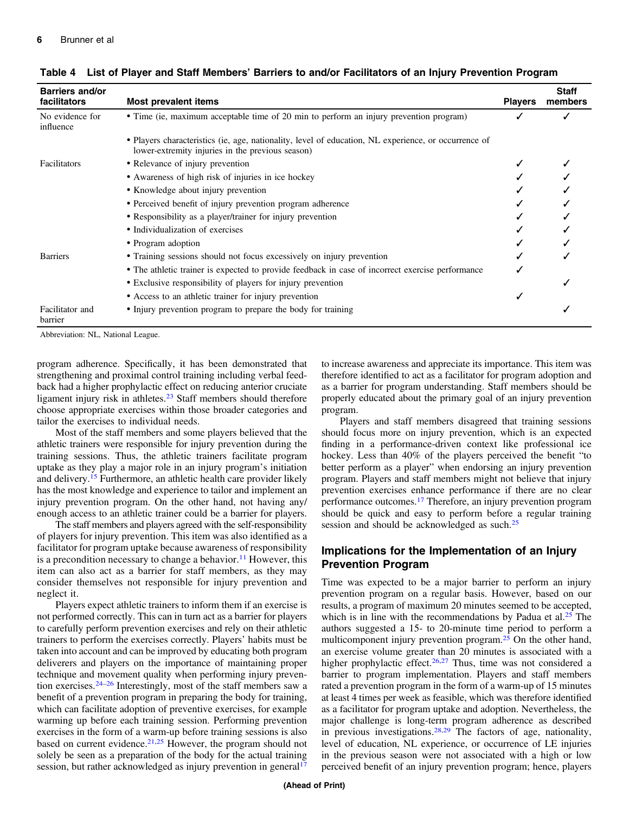| <b>Barriers and/or</b><br>facilitators | Most prevalent items                                                                                                                                     | <b>Players</b> | <b>Staff</b><br>members |
|----------------------------------------|----------------------------------------------------------------------------------------------------------------------------------------------------------|----------------|-------------------------|
| No evidence for<br>influence           | • Time (ie, maximum acceptable time of 20 min to perform an injury prevention program)                                                                   |                |                         |
|                                        | • Players characteristics (ie, age, nationality, level of education, NL experience, or occurrence of<br>lower-extremity injuries in the previous season) |                |                         |
| Facilitators                           | • Relevance of injury prevention                                                                                                                         |                |                         |
|                                        | • Awareness of high risk of injuries in ice hockey                                                                                                       |                |                         |
|                                        | • Knowledge about injury prevention                                                                                                                      |                |                         |
|                                        | • Perceived benefit of injury prevention program adherence                                                                                               |                |                         |
|                                        | • Responsibility as a player/trainer for injury prevention                                                                                               |                |                         |
|                                        | • Individualization of exercises                                                                                                                         |                |                         |
|                                        | • Program adoption                                                                                                                                       |                |                         |
| <b>Barriers</b>                        | • Training sessions should not focus excessively on injury prevention                                                                                    |                |                         |
|                                        | • The athletic trainer is expected to provide feedback in case of incorrect exercise performance                                                         |                |                         |
|                                        | • Exclusive responsibility of players for injury prevention                                                                                              |                |                         |
|                                        | • Access to an athletic trainer for injury prevention                                                                                                    |                |                         |
| Facilitator and<br>barrier             | • Injury prevention program to prepare the body for training                                                                                             |                |                         |

<span id="page-5-0"></span>Table 4 List of Player and Staff Members' Barriers to and/or Facilitators of an Injury Prevention Program

Abbreviation: NL, National League.

program adherence. Specifically, it has been demonstrated that strengthening and proximal control training including verbal feedback had a higher prophylactic effect on reducing anterior cruciate ligament injury risk in athletes. $23$  Staff members should therefore choose appropriate exercises within those broader categories and tailor the exercises to individual needs.

Most of the staff members and some players believed that the athletic trainers were responsible for injury prevention during the training sessions. Thus, the athletic trainers facilitate program uptake as they play a major role in an injury program's initiation and delivery.[15](#page-6-0) Furthermore, an athletic health care provider likely has the most knowledge and experience to tailor and implement an injury prevention program. On the other hand, not having any/ enough access to an athletic trainer could be a barrier for players.

The staff members and players agreed with the self-responsibility of players for injury prevention. This item was also identified as a facilitator for program uptake because awareness of responsibility is a precondition necessary to change a behavior.<sup>[11](#page-6-0)</sup> However, this item can also act as a barrier for staff members, as they may consider themselves not responsible for injury prevention and neglect it.

Players expect athletic trainers to inform them if an exercise is not performed correctly. This can in turn act as a barrier for players to carefully perform prevention exercises and rely on their athletic trainers to perform the exercises correctly. Players' habits must be taken into account and can be improved by educating both program deliverers and players on the importance of maintaining proper technique and movement quality when performing injury prevention exercises. $24-26$  $24-26$  $24-26$  Interestingly, most of the staff members saw a benefit of a prevention program in preparing the body for training, which can facilitate adoption of preventive exercises, for example warming up before each training session. Performing prevention exercises in the form of a warm-up before training sessions is also based on current evidence.<sup>[21,25](#page-7-0)</sup> However, the program should not solely be seen as a preparation of the body for the actual training session, but rather acknowledged as injury prevention in general<sup>[17](#page-7-0)</sup>

to increase awareness and appreciate its importance. This item was therefore identified to act as a facilitator for program adoption and as a barrier for program understanding. Staff members should be properly educated about the primary goal of an injury prevention program.

Players and staff members disagreed that training sessions should focus more on injury prevention, which is an expected finding in a performance-driven context like professional ice hockey. Less than 40% of the players perceived the benefit "to better perform as a player" when endorsing an injury prevention program. Players and staff members might not believe that injury prevention exercises enhance performance if there are no clear performance outcomes.[17](#page-7-0) Therefore, an injury prevention program should be quick and easy to perform before a regular training session and should be acknowledged as such.<sup>25</sup>

## Implications for the Implementation of an Injury Prevention Program

Time was expected to be a major barrier to perform an injury prevention program on a regular basis. However, based on our results, a program of maximum 20 minutes seemed to be accepted, which is in line with the recommendations by Padua et al. $25$  The authors suggested a 15- to 20-minute time period to perform a multicomponent injury prevention program.<sup>[25](#page-7-0)</sup> On the other hand, an exercise volume greater than 20 minutes is associated with a higher prophylactic effect.<sup>[26,27](#page-7-0)</sup> Thus, time was not considered a barrier to program implementation. Players and staff members rated a prevention program in the form of a warm-up of 15 minutes at least 4 times per week as feasible, which was therefore identified as a facilitator for program uptake and adoption. Nevertheless, the major challenge is long-term program adherence as described in previous investigations. $28,29$  The factors of age, nationality, level of education, NL experience, or occurrence of LE injuries in the previous season were not associated with a high or low perceived benefit of an injury prevention program; hence, players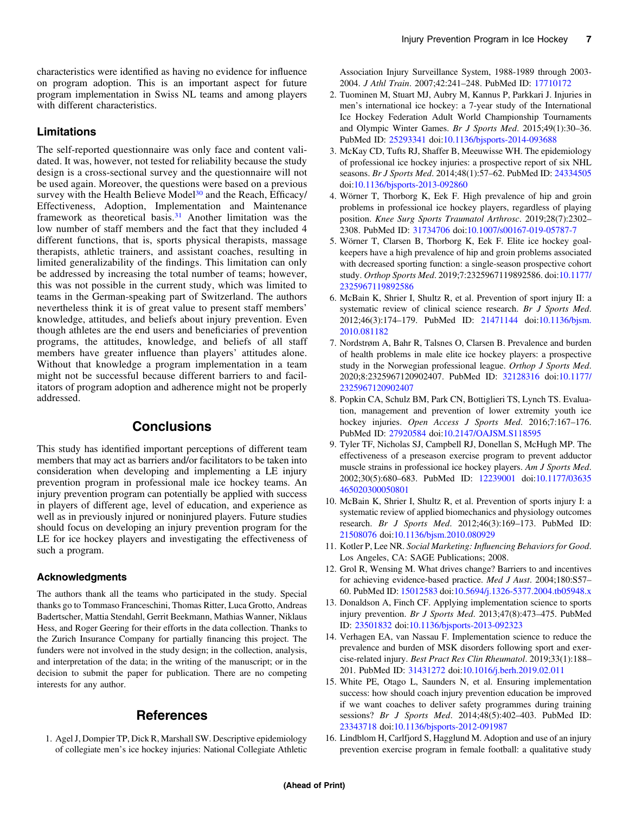<span id="page-6-0"></span>characteristics were identified as having no evidence for influence on program adoption. This is an important aspect for future program implementation in Swiss NL teams and among players with different characteristics.

## Limitations

The self-reported questionnaire was only face and content validated. It was, however, not tested for reliability because the study design is a cross-sectional survey and the questionnaire will not be used again. Moreover, the questions were based on a previous survey with the Health Believe Model<sup>30</sup> and the Reach, Efficacy/ Effectiveness, Adoption, Implementation and Maintenance framework as theoretical basis.[31](#page-7-0) Another limitation was the low number of staff members and the fact that they included 4 different functions, that is, sports physical therapists, massage therapists, athletic trainers, and assistant coaches, resulting in limited generalizability of the findings. This limitation can only be addressed by increasing the total number of teams; however, this was not possible in the current study, which was limited to teams in the German-speaking part of Switzerland. The authors nevertheless think it is of great value to present staff members' knowledge, attitudes, and beliefs about injury prevention. Even though athletes are the end users and beneficiaries of prevention programs, the attitudes, knowledge, and beliefs of all staff members have greater influence than players' attitudes alone. Without that knowledge a program implementation in a team might not be successful because different barriers to and facilitators of program adoption and adherence might not be properly addressed.

# **Conclusions**

This study has identified important perceptions of different team members that may act as barriers and/or facilitators to be taken into consideration when developing and implementing a LE injury prevention program in professional male ice hockey teams. An injury prevention program can potentially be applied with success in players of different age, level of education, and experience as well as in previously injured or noninjured players. Future studies should focus on developing an injury prevention program for the LE for ice hockey players and investigating the effectiveness of such a program.

#### Acknowledgments

The authors thank all the teams who participated in the study. Special thanks go to Tommaso Franceschini, Thomas Ritter, Luca Grotto, Andreas Badertscher, Mattia Stendahl, Gerrit Beekmann, Mathias Wanner, Niklaus Hess, and Roger Geering for their efforts in the data collection. Thanks to the Zurich Insurance Company for partially financing this project. The funders were not involved in the study design; in the collection, analysis, and interpretation of the data; in the writing of the manuscript; or in the decision to submit the paper for publication. There are no competing interests for any author.

# **References**

1. Agel J, Dompier TP, Dick R, Marshall SW. Descriptive epidemiology of collegiate men's ice hockey injuries: National Collegiate Athletic Association Injury Surveillance System, 1988-1989 through 2003- 2004. J Athl Train. 2007;42:241–248. PubMed ID: [17710172](http://www.ncbi.nlm.nih.gov/pubmed/17710172?dopt=Abstract)

- 2. Tuominen M, Stuart MJ, Aubry M, Kannus P, Parkkari J. Injuries in men's international ice hockey: a 7-year study of the International Ice Hockey Federation Adult World Championship Tournaments and Olympic Winter Games. Br J Sports Med. 2015;49(1):30–36. PubMed ID: [25293341](http://www.ncbi.nlm.nih.gov/pubmed/25293341?dopt=Abstract) doi:[10.1136/bjsports-2014-093688](https://doi.org/10.1136/bjsports-2014-093688)
- 3. McKay CD, Tufts RJ, Shaffer B, Meeuwisse WH. The epidemiology of professional ice hockey injuries: a prospective report of six NHL seasons. Br J Sports Med. 2014;48(1):57–62. PubMed ID: [24334505](http://www.ncbi.nlm.nih.gov/pubmed/24334505?dopt=Abstract) doi:[10.1136/bjsports-2013-092860](https://doi.org/10.1136/bjsports-2013-092860)
- 4. Wörner T, Thorborg K, Eek F. High prevalence of hip and groin problems in professional ice hockey players, regardless of playing position. Knee Surg Sports Traumatol Arthrosc. 2019;28(7):2302– 2308. PubMed ID: [31734706](http://www.ncbi.nlm.nih.gov/pubmed/31734706?dopt=Abstract) doi:[10.1007/s00167-019-05787-7](https://doi.org/10.1007/s00167-019-05787-7)
- 5. Wörner T, Clarsen B, Thorborg K, Eek F. Elite ice hockey goalkeepers have a high prevalence of hip and groin problems associated with decreased sporting function: a single-season prospective cohort study. Orthop Sports Med. 2019;7:2325967119892586. doi[:10.1177/](https://doi.org/10.1177/2325967119892586) [2325967119892586](https://doi.org/10.1177/2325967119892586)
- 6. McBain K, Shrier I, Shultz R, et al. Prevention of sport injury II: a systematic review of clinical science research. Br J Sports Med. 2012;46(3):174–179. PubMed ID: [21471144](http://www.ncbi.nlm.nih.gov/pubmed/21471144?dopt=Abstract) doi:[10.1136/bjsm.](https://doi.org/10.1136/bjsm.2010.081182) [2010.081182](https://doi.org/10.1136/bjsm.2010.081182)
- 7. Nordstrøm A, Bahr R, Talsnes O, Clarsen B. Prevalence and burden of health problems in male elite ice hockey players: a prospective study in the Norwegian professional league. Orthop J Sports Med. 2020;8:2325967120902407. PubMed ID: [32128316](http://www.ncbi.nlm.nih.gov/pubmed/32128316?dopt=Abstract) doi[:10.1177/](https://doi.org/10.1177/2325967120902407) [2325967120902407](https://doi.org/10.1177/2325967120902407)
- 8. Popkin CA, Schulz BM, Park CN, Bottiglieri TS, Lynch TS. Evaluation, management and prevention of lower extremity youth ice hockey injuries. Open Access J Sports Med. 2016;7:167-176. PubMed ID: [27920584](http://www.ncbi.nlm.nih.gov/pubmed/27920584?dopt=Abstract) doi:[10.2147/OAJSM.S118595](https://doi.org/10.2147/OAJSM.S118595)
- 9. Tyler TF, Nicholas SJ, Campbell RJ, Donellan S, McHugh MP. The effectiveness of a preseason exercise program to prevent adductor muscle strains in professional ice hockey players. Am J Sports Med. 2002;30(5):680–683. PubMed ID: [12239001](http://www.ncbi.nlm.nih.gov/pubmed/12239001?dopt=Abstract) doi:[10.1177/03635](https://doi.org/10.1177/03635465020300050801) [465020300050801](https://doi.org/10.1177/03635465020300050801)
- 10. McBain K, Shrier I, Shultz R, et al. Prevention of sports injury I: a systematic review of applied biomechanics and physiology outcomes research. Br J Sports Med. 2012;46(3):169–173. PubMed ID: [21508076](http://www.ncbi.nlm.nih.gov/pubmed/21508076?dopt=Abstract) doi:[10.1136/bjsm.2010.080929](https://doi.org/10.1136/bjsm.2010.080929)
- 11. Kotler P, Lee NR. Social Marketing: Influencing Behaviors for Good. Los Angeles, CA: SAGE Publications; 2008.
- 12. Grol R, Wensing M. What drives change? Barriers to and incentives for achieving evidence-based practice. Med J Aust. 2004;180:S57– 60. PubMed ID: [15012583](http://www.ncbi.nlm.nih.gov/pubmed/15012583?dopt=Abstract) doi[:10.5694/j.1326-5377.2004.tb05948.x](https://doi.org/10.5694/j.1326-5377.2004.tb05948.x)
- 13. Donaldson A, Finch CF. Applying implementation science to sports injury prevention. Br J Sports Med. 2013;47(8):473–475. PubMed ID: [23501832](http://www.ncbi.nlm.nih.gov/pubmed/23501832?dopt=Abstract) doi[:10.1136/bjsports-2013-092323](https://doi.org/10.1136/bjsports-2013-092323)
- 14. Verhagen EA, van Nassau F. Implementation science to reduce the prevalence and burden of MSK disorders following sport and exercise-related injury. Best Pract Res Clin Rheumatol. 2019;33(1):188– 201. PubMed ID: [31431272](http://www.ncbi.nlm.nih.gov/pubmed/31431272?dopt=Abstract) doi[:10.1016/j.berh.2019.02.011](https://doi.org/10.1016/j.berh.2019.02.011)
- 15. White PE, Otago L, Saunders N, et al. Ensuring implementation success: how should coach injury prevention education be improved if we want coaches to deliver safety programmes during training sessions? Br J Sports Med. 2014;48(5):402–403. PubMed ID: [23343718](http://www.ncbi.nlm.nih.gov/pubmed/23343718?dopt=Abstract) doi:[10.1136/bjsports-2012-091987](https://doi.org/10.1136/bjsports-2012-091987)
- 16. Lindblom H, Carlfjord S, Hagglund M. Adoption and use of an injury prevention exercise program in female football: a qualitative study